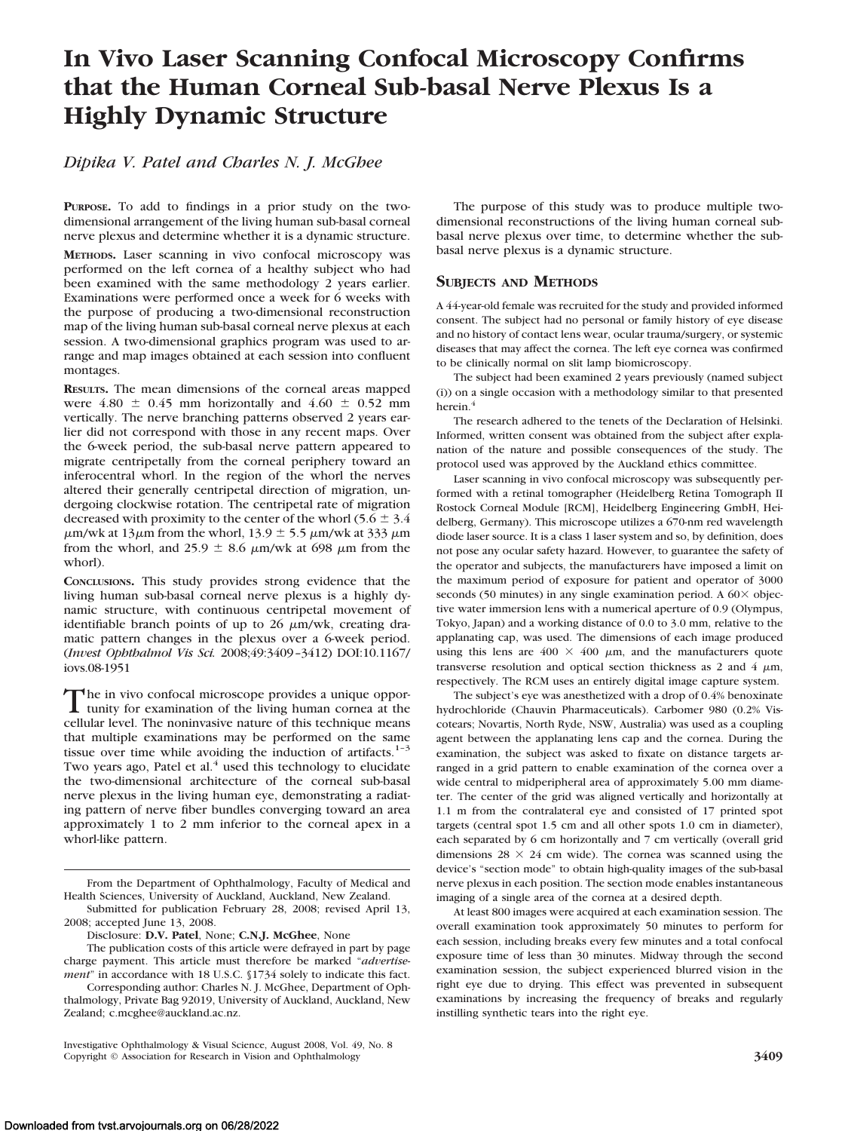# **In Vivo Laser Scanning Confocal Microscopy Confirms that the Human Corneal Sub-basal Nerve Plexus Is a Highly Dynamic Structure**

# *Dipika V. Patel and Charles N. J. McGhee*

**PURPOSE.** To add to findings in a prior study on the twodimensional arrangement of the living human sub-basal corneal nerve plexus and determine whether it is a dynamic structure.

**METHODS.** Laser scanning in vivo confocal microscopy was performed on the left cornea of a healthy subject who had been examined with the same methodology 2 years earlier. Examinations were performed once a week for 6 weeks with the purpose of producing a two-dimensional reconstruction map of the living human sub-basal corneal nerve plexus at each session. A two-dimensional graphics program was used to arrange and map images obtained at each session into confluent montages.

**RESULTS.** The mean dimensions of the corneal areas mapped were  $4.80 \pm 0.45$  mm horizontally and  $4.60 \pm 0.52$  mm vertically. The nerve branching patterns observed 2 years earlier did not correspond with those in any recent maps. Over the 6-week period, the sub-basal nerve pattern appeared to migrate centripetally from the corneal periphery toward an inferocentral whorl. In the region of the whorl the nerves altered their generally centripetal direction of migration, undergoing clockwise rotation. The centripetal rate of migration decreased with proximity to the center of the whorl (5.6  $\pm$  3.4)  $\mu$ m/wk at 13 $\mu$ m from the whorl, 13.9  $\pm$  5.5  $\mu$ m/wk at 333  $\mu$ m from the whorl, and 25.9  $\pm$  8.6  $\mu$ m/wk at 698  $\mu$ m from the whorl).

**CONCLUSIONS.** This study provides strong evidence that the living human sub-basal corneal nerve plexus is a highly dynamic structure, with continuous centripetal movement of identifiable branch points of up to 26  $\mu$ m/wk, creating dramatic pattern changes in the plexus over a 6-week period. (*Invest Ophthalmol Vis Sci.* 2008;49:3409 –3412) DOI:10.1167/ iovs.08-1951

The in vivo confocal microscope provides a unique oppor-<br>tunity for examination of the living human cornea at the<br>sellides livel. The neglignation astron of this technique areas cellular level. The noninvasive nature of this technique means that multiple examinations may be performed on the same tissue over time while avoiding the induction of artifacts.<sup>1-3</sup> Two years ago, Patel et al. $<sup>4</sup>$  used this technology to elucidate</sup> the two-dimensional architecture of the corneal sub-basal nerve plexus in the living human eye, demonstrating a radiating pattern of nerve fiber bundles converging toward an area approximately 1 to 2 mm inferior to the corneal apex in a whorl-like pattern.

The purpose of this study was to produce multiple twodimensional reconstructions of the living human corneal subbasal nerve plexus over time, to determine whether the subbasal nerve plexus is a dynamic structure.

# **SUBJECTS AND METHODS**

A 44-year-old female was recruited for the study and provided informed consent. The subject had no personal or family history of eye disease and no history of contact lens wear, ocular trauma/surgery, or systemic diseases that may affect the cornea. The left eye cornea was confirmed to be clinically normal on slit lamp biomicroscopy.

The subject had been examined 2 years previously (named subject (i)) on a single occasion with a methodology similar to that presented herein.<sup>4</sup>

The research adhered to the tenets of the Declaration of Helsinki. Informed, written consent was obtained from the subject after explanation of the nature and possible consequences of the study. The protocol used was approved by the Auckland ethics committee.

Laser scanning in vivo confocal microscopy was subsequently performed with a retinal tomographer (Heidelberg Retina Tomograph II Rostock Corneal Module [RCM], Heidelberg Engineering GmbH, Heidelberg, Germany). This microscope utilizes a 670-nm red wavelength diode laser source. It is a class 1 laser system and so, by definition, does not pose any ocular safety hazard. However, to guarantee the safety of the operator and subjects, the manufacturers have imposed a limit on the maximum period of exposure for patient and operator of 3000 seconds (50 minutes) in any single examination period. A  $60\times$  objective water immersion lens with a numerical aperture of 0.9 (Olympus, Tokyo, Japan) and a working distance of 0.0 to 3.0 mm, relative to the applanating cap, was used. The dimensions of each image produced using this lens are  $400 \times 400 \mu m$ , and the manufacturers quote transverse resolution and optical section thickness as 2 and 4  $\mu$ m, respectively. The RCM uses an entirely digital image capture system.

The subject's eye was anesthetized with a drop of 0.4% benoxinate hydrochloride (Chauvin Pharmaceuticals). Carbomer 980 (0.2% Viscotears; Novartis, North Ryde, NSW, Australia) was used as a coupling agent between the applanating lens cap and the cornea. During the examination, the subject was asked to fixate on distance targets arranged in a grid pattern to enable examination of the cornea over a wide central to midperipheral area of approximately 5.00 mm diameter. The center of the grid was aligned vertically and horizontally at 1.1 m from the contralateral eye and consisted of 17 printed spot targets (central spot 1.5 cm and all other spots 1.0 cm in diameter), each separated by 6 cm horizontally and 7 cm vertically (overall grid dimensions  $28 \times 24$  cm wide). The cornea was scanned using the device's "section mode" to obtain high-quality images of the sub-basal nerve plexus in each position. The section mode enables instantaneous imaging of a single area of the cornea at a desired depth.

At least 800 images were acquired at each examination session. The overall examination took approximately 50 minutes to perform for each session, including breaks every few minutes and a total confocal exposure time of less than 30 minutes. Midway through the second examination session, the subject experienced blurred vision in the right eye due to drying. This effect was prevented in subsequent examinations by increasing the frequency of breaks and regularly instilling synthetic tears into the right eye.

From the Department of Ophthalmology, Faculty of Medical and Health Sciences, University of Auckland, Auckland, New Zealand. Submitted for publication February 28, 2008; revised April 13,

<sup>2008;</sup> accepted June 13, 2008.

Disclosure: **D.V. Patel**, None; **C.N.J. McGhee**, None

The publication costs of this article were defrayed in part by page charge payment. This article must therefore be marked "*advertisement*" in accordance with 18 U.S.C. §1734 solely to indicate this fact.

Corresponding author: Charles N. J. McGhee, Department of Ophthalmology, Private Bag 92019, University of Auckland, Auckland, New Zealand; c.mcghee@auckland.ac.nz.

Investigative Ophthalmology & Visual Science, August 2008, Vol. 49, No. 8 Copyright © Association for Research in Vision and Ophthalmology **3409**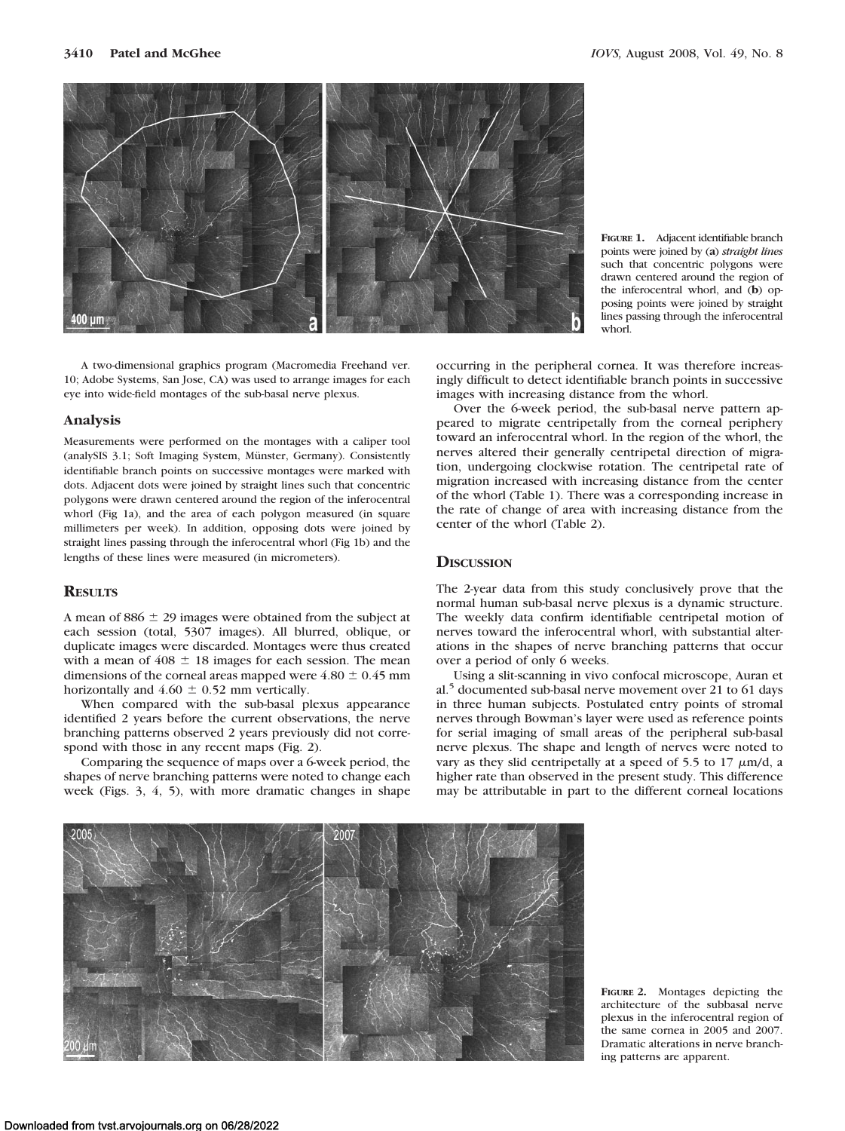

A two-dimensional graphics program (Macromedia Freehand ver. 10; Adobe Systems, San Jose, CA) was used to arrange images for each eye into wide-field montages of the sub-basal nerve plexus.

#### **Analysis**

Measurements were performed on the montages with a caliper tool (analySIS 3.1; Soft Imaging System, Münster, Germany). Consistently identifiable branch points on successive montages were marked with dots. Adjacent dots were joined by straight lines such that concentric polygons were drawn centered around the region of the inferocentral whorl (Fig 1a), and the area of each polygon measured (in square millimeters per week). In addition, opposing dots were joined by straight lines passing through the inferocentral whorl (Fig 1b) and the lengths of these lines were measured (in micrometers).

### **RESULTS**

A mean of  $886 \pm 29$  images were obtained from the subject at each session (total, 5307 images). All blurred, oblique, or duplicate images were discarded. Montages were thus created with a mean of  $408 \pm 18$  images for each session. The mean dimensions of the corneal areas mapped were  $4.80 \pm 0.45$  mm horizontally and  $4.60 \pm 0.52$  mm vertically.

When compared with the sub-basal plexus appearance identified 2 years before the current observations, the nerve branching patterns observed 2 years previously did not correspond with those in any recent maps (Fig. 2).

Comparing the sequence of maps over a 6-week period, the shapes of nerve branching patterns were noted to change each week (Figs. 3, 4, 5), with more dramatic changes in shape

points were joined by (**a**) *straight lines* such that concentric polygons were drawn centered around the region of the inferocentral whorl, and (**b**) opposing points were joined by straight lines passing through the inferocentral whorl.

**FIGURE 1.** Adjacent identifiable branch

occurring in the peripheral cornea. It was therefore increasingly difficult to detect identifiable branch points in successive images with increasing distance from the whorl.

Over the 6-week period, the sub-basal nerve pattern appeared to migrate centripetally from the corneal periphery toward an inferocentral whorl. In the region of the whorl, the nerves altered their generally centripetal direction of migration, undergoing clockwise rotation. The centripetal rate of migration increased with increasing distance from the center of the whorl (Table 1). There was a corresponding increase in the rate of change of area with increasing distance from the center of the whorl (Table 2).

## **DISCUSSION**

The 2-year data from this study conclusively prove that the normal human sub-basal nerve plexus is a dynamic structure. The weekly data confirm identifiable centripetal motion of nerves toward the inferocentral whorl, with substantial alterations in the shapes of nerve branching patterns that occur over a period of only 6 weeks.

Using a slit-scanning in vivo confocal microscope, Auran et al.<sup>5</sup> documented sub-basal nerve movement over 21 to 61 days in three human subjects. Postulated entry points of stromal nerves through Bowman's layer were used as reference points for serial imaging of small areas of the peripheral sub-basal nerve plexus. The shape and length of nerves were noted to vary as they slid centripetally at a speed of 5.5 to 17  $\mu$ m/d, a higher rate than observed in the present study. This difference may be attributable in part to the different corneal locations



**FIGURE 2.** Montages depicting the architecture of the subbasal nerve plexus in the inferocentral region of the same cornea in 2005 and 2007. Dramatic alterations in nerve branching patterns are apparent.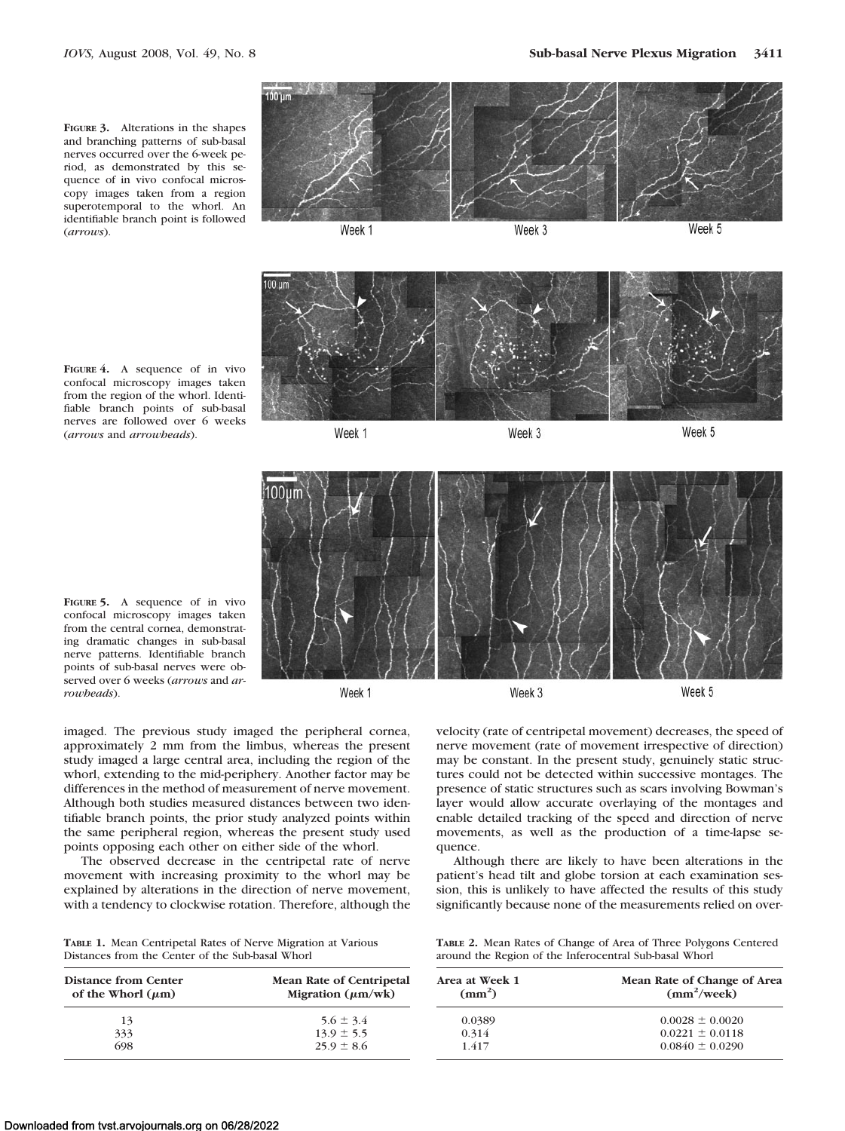**FIGURE 3.** Alterations in the shapes and branching patterns of sub-basal nerves occurred over the 6-week period, as demonstrated by this sequence of in vivo confocal microscopy images taken from a region superotemporal to the whorl. An identifiable branch point is followed (*arrows*).



Week 1

Week 3

Week 5



**FIGURE 4.** A sequence of in vivo confocal microscopy images taken from the region of the whorl. Identifiable branch points of sub-basal nerves are followed over 6 weeks (*arrows* and *arrowheads*).



**FIGURE 5.** A sequence of in vivo confocal microscopy images taken from the central cornea, demonstrating dramatic changes in sub-basal nerve patterns. Identifiable branch points of sub-basal nerves were observed over 6 weeks (*arrows* and *arrowheads*).

Week 1

imaged. The previous study imaged the peripheral cornea, approximately 2 mm from the limbus, whereas the present study imaged a large central area, including the region of the whorl, extending to the mid-periphery. Another factor may be differences in the method of measurement of nerve movement. Although both studies measured distances between two identifiable branch points, the prior study analyzed points within the same peripheral region, whereas the present study used points opposing each other on either side of the whorl.

The observed decrease in the centripetal rate of nerve movement with increasing proximity to the whorl may be explained by alterations in the direction of nerve movement, with a tendency to clockwise rotation. Therefore, although the

|  | <b>TABLE 1. Mean Centripetal Rates of Nerve Migration at Various</b> |  |  |  |
|--|----------------------------------------------------------------------|--|--|--|
|  | Distances from the Center of the Sub-basal Whorl                     |  |  |  |

| Distance from Center<br>of the Whorl $(\mu m)$ | <b>Mean Rate of Centripetal</b><br>Migration $(\mu m/wk)$ |  |  |  |
|------------------------------------------------|-----------------------------------------------------------|--|--|--|
| 13                                             | $5.6 \pm 3.4$                                             |  |  |  |
| 333                                            | $13.9 \pm 5.5$                                            |  |  |  |
| 698                                            | $25.9 \pm 8.6$                                            |  |  |  |

velocity (rate of centripetal movement) decreases, the speed of nerve movement (rate of movement irrespective of direction) may be constant. In the present study, genuinely static structures could not be detected within successive montages. The presence of static structures such as scars involving Bowman's layer would allow accurate overlaying of the montages and enable detailed tracking of the speed and direction of nerve movements, as well as the production of a time-lapse sequence.

Although there are likely to have been alterations in the patient's head tilt and globe torsion at each examination session, this is unlikely to have affected the results of this study significantly because none of the measurements relied on over-

| <b>TABLE 2.</b> Mean Rates of Change of Area of Three Polygons Centered |
|-------------------------------------------------------------------------|
| around the Region of the Inferocentral Sub-basal Whorl                  |

| Area at Week 1<br>$\text{(mm}^2)$ | Mean Rate of Change of Area<br>$(mm^2/week)$ |
|-----------------------------------|----------------------------------------------|
| 0.0389                            | $0.0028 \pm 0.0020$                          |
| 0.314                             | $0.0221 \pm 0.0118$                          |
| 1417                              | $0.0840 \pm 0.0290$                          |